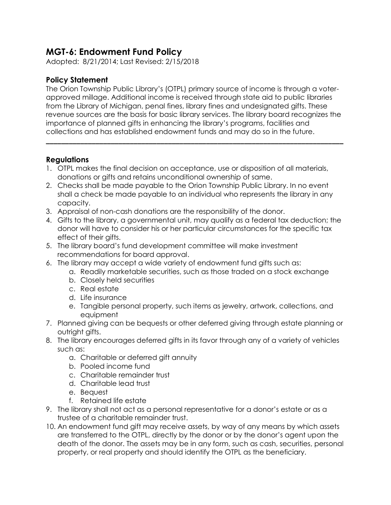## **MGT-6: Endowment Fund Policy**

Adopted: 8/21/2014; Last Revised: 2/15/2018

## **Policy Statement**

The Orion Township Public Library's (OTPL) primary source of income is through a voterapproved millage. Additional income is received through state aid to public libraries from the Library of Michigan, penal fines, library fines and undesignated gifts. These revenue sources are the basis for basic library services. The library board recognizes the importance of planned gifts in enhancing the library's programs, facilities and collections and has established endowment funds and may do so in the future.

**\_\_\_\_\_\_\_\_\_\_\_\_\_\_\_\_\_\_\_\_\_\_\_\_\_\_\_\_\_\_\_\_\_\_\_\_\_\_\_\_\_\_\_\_\_\_\_\_\_\_\_\_\_\_\_\_\_\_\_\_\_\_\_\_\_\_\_\_\_\_\_\_\_\_\_\_\_\_**

## **Regulations**

- 1. OTPL makes the final decision on acceptance, use or disposition of all materials, donations or gifts and retains unconditional ownership of same.
- 2. Checks shall be made payable to the Orion Township Public Library. In no event shall a check be made payable to an individual who represents the library in any capacity.
- 3. Appraisal of non-cash donations are the responsibility of the donor.
- 4. Gifts to the library, a governmental unit, may qualify as a federal tax deduction; the donor will have to consider his or her particular circumstances for the specific tax effect of their gifts.
- 5. The library board's fund development committee will make investment recommendations for board approval.
- 6. The library may accept a wide variety of endowment fund gifts such as:
	- a. Readily marketable securities, such as those traded on a stock exchange
	- b. Closely held securities
	- c. Real estate
	- d. Life insurance
	- e. Tangible personal property, such items as jewelry, artwork, collections, and equipment
- 7. Planned giving can be bequests or other deferred giving through estate planning or outright gifts.
- 8. The library encourages deferred gifts in its favor through any of a variety of vehicles such as:
	- a. Charitable or deferred gift annuity
	- b. Pooled income fund
	- c. Charitable remainder trust
	- d. Charitable lead trust
	- e. Bequest
	- f. Retained life estate
- 9. The library shall not act as a personal representative for a donor's estate or as a trustee of a charitable remainder trust.
- 10. An endowment fund gift may receive assets, by way of any means by which assets are transferred to the OTPL, directly by the donor or by the donor's agent upon the death of the donor. The assets may be in any form, such as cash, securities, personal property, or real property and should identify the OTPL as the beneficiary.